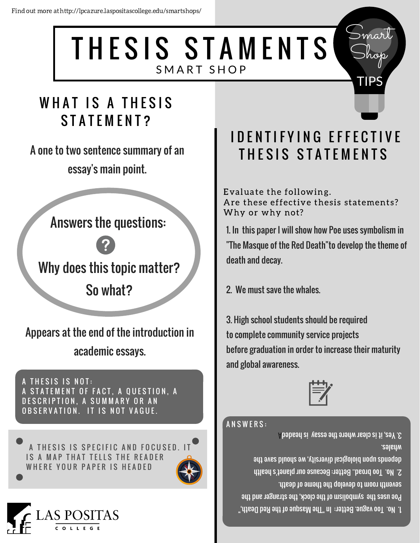THESIS STAMENTS SMART SHOP

# WHAT IS A THESIS **STATEMENT?**

A one to two sentence summary of an essay's main point.

**Answers the questions:** 



Why does this topic matter? So what?

Appears at the end of the introduction in academic essays.

<u>A THESIS IS NOT:</u> A STATEMENT OF FACT, A QUESTION, A DESCRIPTION, A SUMMARY OR AN OBSERVATION. IT IS NOT VAGUE.

A THESIS IS SPECIFIC AND FOCUSED. IT IS A MAP THAT TELLS THE READER WHERE YOUR PAPER IS HEADED





# **IDENTIFYING EFFECTIVE** THESIS STATEMENTS

Evaluate the following. Are these effective thesis statements? Why or why not?

1. In this paper I will show how Poe uses symbolism in "The Masque of the Red Death"to develop the theme of death and decay.

2. We must save the whales.

3. High school students should be required to complete community service projects before graduation in order to increase their maturity and global awareness.



### **ANSWERS:**

3. Yes, it is clear where the essay is headed **Mhales.** depends upon biological diversity, we should save the 2. No. Too broad. Better: Because our planet's health seventh room to develop the theme of death. Poe uses the symbolism of the clock, the stranger and the 1. No. Too vague. Better: In "The Masque of the Red Death,"